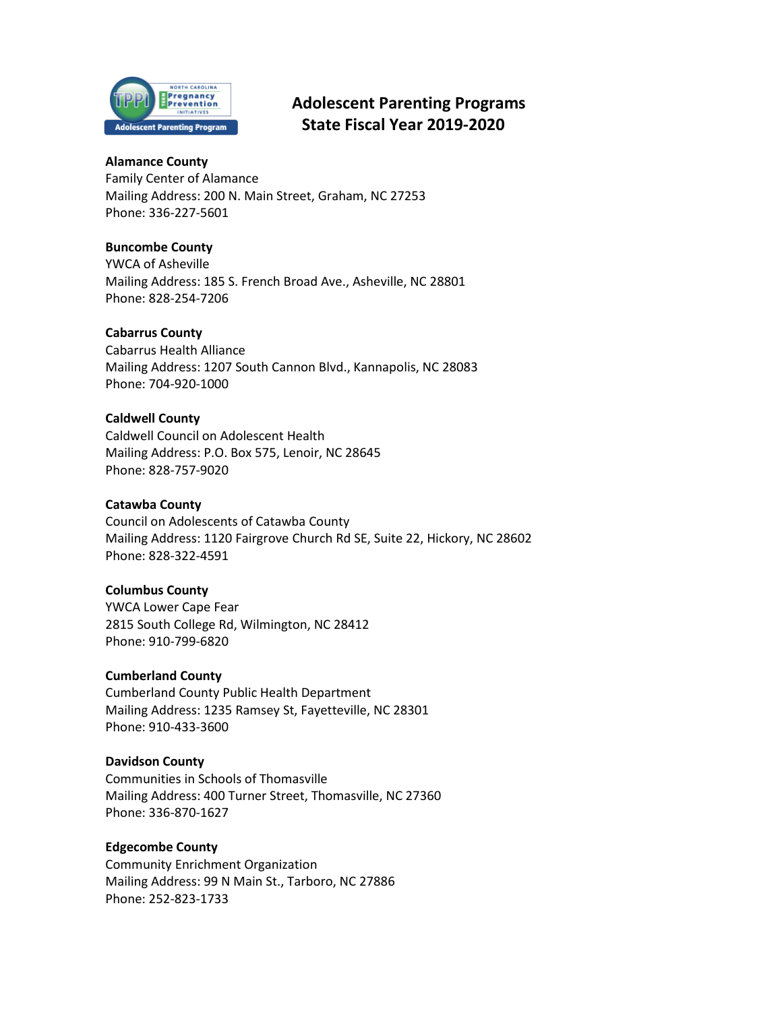

# **Adolescent Parenting Programs State Fiscal Year 2019-2020**

# **Alamance County**

Family Center of Alamance Mailing Address: 200 N. Main Street, Graham, NC 27253 Phone: 336-227-5601

# **Buncombe County**

YWCA of Asheville Mailing Address: 185 S. French Broad Ave., Asheville, NC 28801 Phone: 828-254-7206

# **Cabarrus County**

Cabarrus Health Alliance Mailing Address: 1207 South Cannon Blvd., Kannapolis, NC 28083 Phone: 704-920-1000

# **Caldwell County**

Caldwell Council on Adolescent Health Mailing Address: P.O. Box 575, Lenoir, NC 28645 Phone: 828-757-9020

## **Catawba County**

Council on Adolescents of Catawba County Mailing Address: 1120 Fairgrove Church Rd SE, Suite 22, Hickory, NC 28602 Phone: 828-322-4591

## **Columbus County**

YWCA Lower Cape Fear 2815 South College Rd, Wilmington, NC 28412 Phone: 910-799-6820

## **Cumberland County**

Cumberland County Public Health Department Mailing Address: 1235 Ramsey St, Fayetteville, NC 28301 Phone: 910-433-3600

## **Davidson County**

Communities in Schools of Thomasville Mailing Address: 400 Turner Street, Thomasville, NC 27360 Phone: 336-870-1627

## **Edgecombe County**

Community Enrichment Organization Mailing Address: 99 N Main St., Tarboro, NC 27886 Phone: 252-823-1733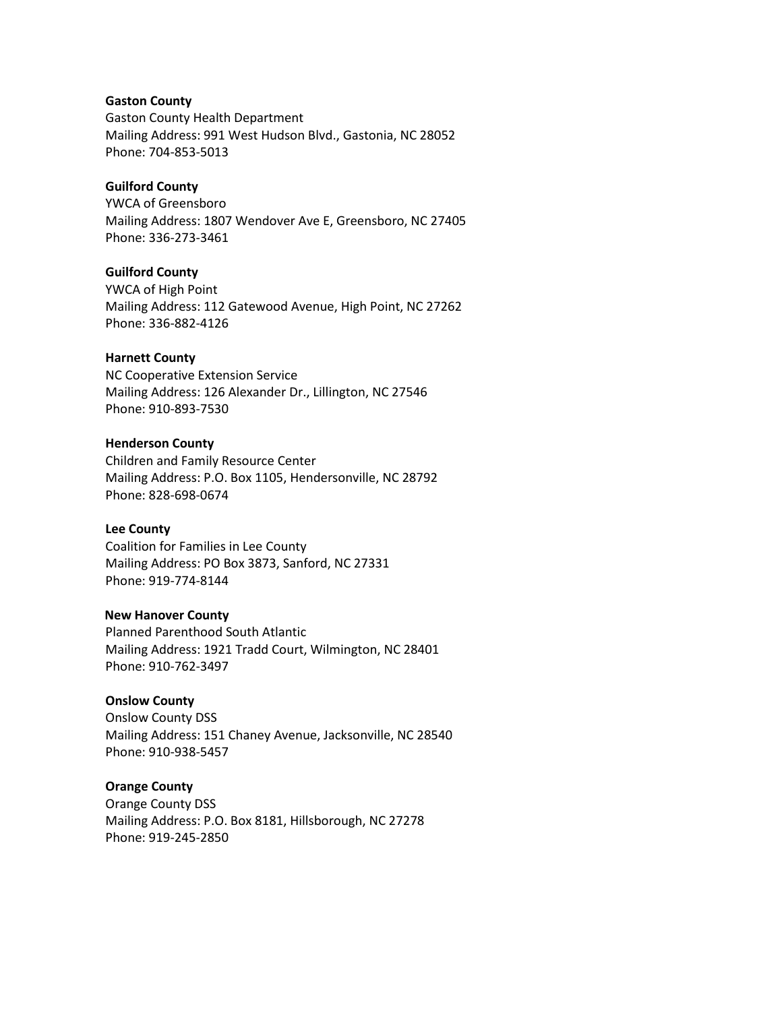#### **Gaston County**

Gaston County Health Department Mailing Address: 991 West Hudson Blvd., Gastonia, NC 28052 Phone: 704-853-5013

## **Guilford County**

YWCA of Greensboro Mailing Address: 1807 Wendover Ave E, Greensboro, NC 27405 Phone: 336-273-3461

## **Guilford County**

YWCA of High Point Mailing Address: 112 Gatewood Avenue, High Point, NC 27262 Phone: 336-882-4126

#### **Harnett County**

NC Cooperative Extension Service Mailing Address: 126 Alexander Dr., Lillington, NC 27546 Phone: 910-893-7530

#### **Henderson County**

Children and Family Resource Center Mailing Address: P.O. Box 1105, Hendersonville, NC 28792 Phone: 828-698-0674

#### **Lee County**

Coalition for Families in Lee County Mailing Address: PO Box 3873, Sanford, NC 27331 Phone: 919-774-8144

#### **New Hanover County**

Planned Parenthood South Atlantic Mailing Address: 1921 Tradd Court, Wilmington, NC 28401 Phone: 910-762-3497

#### **Onslow County**

Onslow County DSS Mailing Address: 151 Chaney Avenue, Jacksonville, NC 28540 Phone: 910-938-5457

#### **Orange County**

Orange County DSS Mailing Address: P.O. Box 8181, Hillsborough, NC 27278 Phone: 919-245-2850